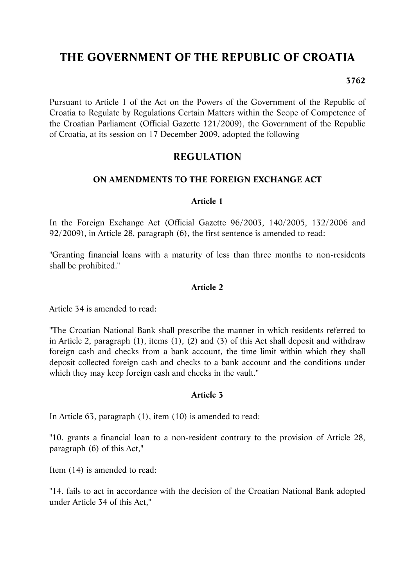# **THE GOVERNMENT OF THE REPUBLIC OF CROATIA**

#### **3762**

Pursuant to Article 1 of the Act on the Powers of the Government of the Republic of Croatia to Regulate by Regulations Certain Matters within the Scope of Competence of the Croatian Parliament (Official Gazette 121/2009), the Government of the Republic of Croatia, at its session on 17 December 2009, adopted the following

# **REGULATION**

## **ON AMENDMENTS TO THE FOREIGN EXCHANGE ACT**

#### **Article 1**

In the Foreign Exchange Act (Official Gazette 96/2003, 140/2005, 132/2006 and 92/2009), in Article 28, paragraph (6), the first sentence is amended to read:

"Granting financial loans with a maturity of less than three months to non-residents shall be prohibited."

#### **Article 2**

Article 34 is amended to read:

"The Croatian National Bank shall prescribe the manner in which residents referred to in Article 2, paragraph (1), items (1), (2) and (3) of this Act shall deposit and withdraw foreign cash and checks from a bank account, the time limit within which they shall deposit collected foreign cash and checks to a bank account and the conditions under which they may keep foreign cash and checks in the vault."

#### **Article 3**

In Article 63, paragraph (1), item (10) is amended to read:

"10. grants a financial loan to a non-resident contrary to the provision of Article 28, paragraph (6) of this Act,"

Item (14) is amended to read:

"14. fails to act in accordance with the decision of the Croatian National Bank adopted under Article 34 of this Act,"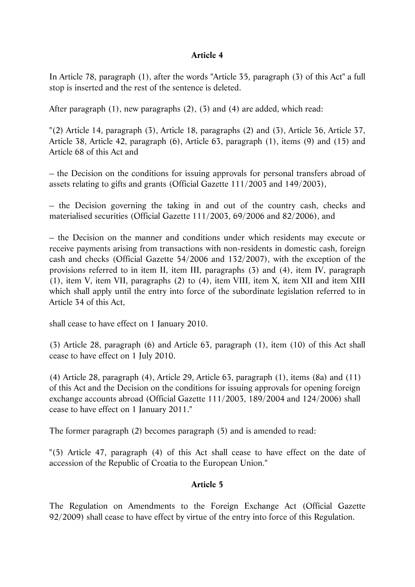#### **Article 4**

In Article 78, paragraph (1), after the words "Article 35, paragraph (3) of this Act" a full stop is inserted and the rest of the sentence is deleted.

After paragraph (1), new paragraphs (2), (3) and (4) are added, which read:

"(2) Article 14, paragraph (3), Article 18, paragraphs (2) and (3), Article 36, Article 37, Article 38, Article 42, paragraph (6), Article 63, paragraph (1), items (9) and (15) and Article 68 of this Act and

– the Decision on the conditions for issuing approvals for personal transfers abroad of assets relating to gifts and grants (Official Gazette 111/2003 and 149/2003),

– the Decision governing the taking in and out of the country cash, checks and materialised securities (Official Gazette 111/2003, 69/2006 and 82/2006), and

– the Decision on the manner and conditions under which residents may execute or receive payments arising from transactions with non-residents in domestic cash, foreign cash and checks (Official Gazette 54/2006 and 132/2007), with the exception of the provisions referred to in item II, item III, paragraphs (3) and (4), item IV, paragraph (1), item V, item VII, paragraphs (2) to (4), item VIII, item X, item XII and item XIII which shall apply until the entry into force of the subordinate legislation referred to in Article 34 of this Act,

shall cease to have effect on 1 January 2010.

(3) Article 28, paragraph (6) and Article 63, paragraph (1), item (10) of this Act shall cease to have effect on 1 July 2010.

(4) Article 28, paragraph (4), Article 29, Article 63, paragraph (1), items (8a) and (11) of this Act and the Decision on the conditions for issuing approvals for opening foreign exchange accounts abroad (Official Gazette 111/2003, 189/2004 and 124/2006) shall cease to have effect on 1 January 2011."

The former paragraph (2) becomes paragraph (5) and is amended to read:

"(5) Article 47, paragraph (4) of this Act shall cease to have effect on the date of accession of the Republic of Croatia to the European Union."

#### **Article 5**

The Regulation on Amendments to the Foreign Exchange Act (Official Gazette 92/2009) shall cease to have effect by virtue of the entry into force of this Regulation.